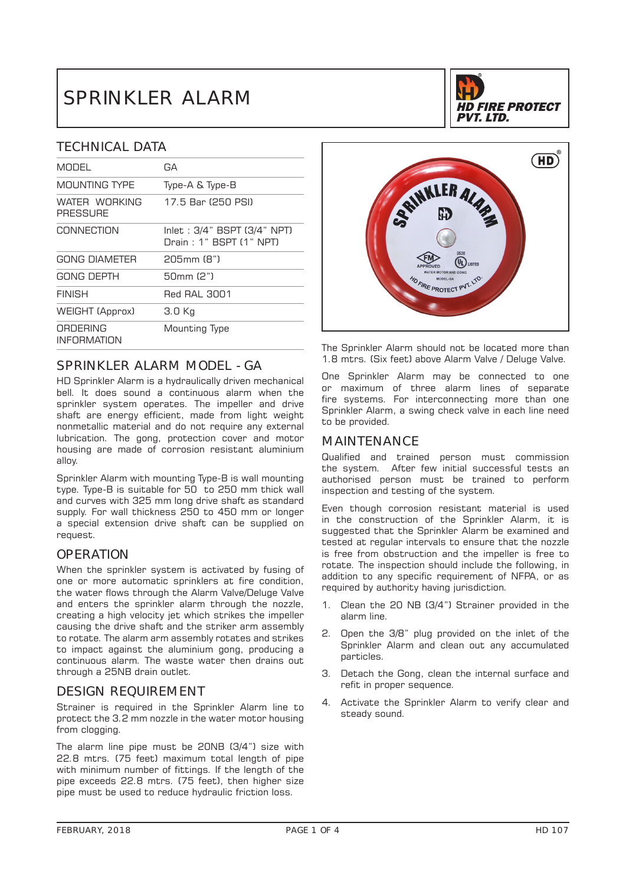# SPRINKLER ALARM

# TECHNICAL DATA

| GА                                                     |
|--------------------------------------------------------|
| Type-A & Type-B                                        |
| 17.5 Bar (250 PSI)                                     |
| Inlet: 3/4" BSPT (3/4" NPT)<br>Drain: 1" BSPT (1" NPT) |
| 205mm (8")                                             |
| 50mm (2")                                              |
| <b>Red RAI 3001</b>                                    |
| 3.0 Kg                                                 |
| Mounting Type                                          |
|                                                        |

# SPRINKLER ALARM MODEL - GA

HD Sprinkler Alarm is a hydraulically driven mechanical bell. It does sound a continuous alarm when the sprinkler system operates. The impeller and drive shaft are energy efficient, made from light weight nonmetallic material and do not require any external lubrication. The gong, protection cover and motor housing are made of corrosion resistant aluminium alloy.

Sprinkler Alarm with mounting Type-B is wall mounting type. Type-B is suitable for 50 to 250 mm thick wall and curves with 325 mm long drive shaft as standard supply. For wall thickness 250 to 450 mm or longer a special extension drive shaft can be supplied on request.

## **OPERATION**

When the sprinkler system is activated by fusing of one or more automatic sprinklers at fire condition, the water flows through the Alarm Valve/Deluge Valve and enters the sprinkler alarm through the nozzle, creating a high velocity jet which strikes the impeller causing the drive shaft and the striker arm assembly to rotate. The alarm arm assembly rotates and strikes to impact against the aluminium gong, producing a continuous alarm. The waste water then drains out through a 25NB drain outlet.

# DESIGN REQUIREMENT

Strainer is required in the Sprinkler Alarm line to protect the 3.2 mm nozzle in the water motor housing from clogging.

The alarm line pipe must be 20NB (3/4") size with 22.8 mtrs. (75 feet) maximum total length of pipe with minimum number of fittings. If the length of the pipe exceeds 22.8 mtrs. (75 feet), then higher size pipe must be used to reduce hydraulic friction loss.





The Sprinkler Alarm should not be located more than 1.8 mtrs. (Six feet) above Alarm Valve / Deluge Valve.

One Sprinkler Alarm may be connected to one or maximum of three alarm lines of separate fire systems. For interconnecting more than one Sprinkler Alarm, a swing check valve in each line need to be provided.

### MAINTENANCE

Qualified and trained person must commission the system. After few initial successful tests an authorised person must be trained to perform inspection and testing of the system.

Even though corrosion resistant material is used in the construction of the Sprinkler Alarm, it is suggested that the Sprinkler Alarm be examined and tested at regular intervals to ensure that the nozzle is free from obstruction and the impeller is free to rotate. The inspection should include the following, in addition to any specific requirement of NFPA, or as required by authority having jurisdiction.

- 1. Clean the 20 NB (3/4") Strainer provided in the alarm line.
- 2. Open the 3/8" plug provided on the inlet of the Sprinkler Alarm and clean out any accumulated particles.
- 3. Detach the Gong, clean the internal surface and refit in proper sequence.
- 4. Activate the Sprinkler Alarm to verify clear and steady sound.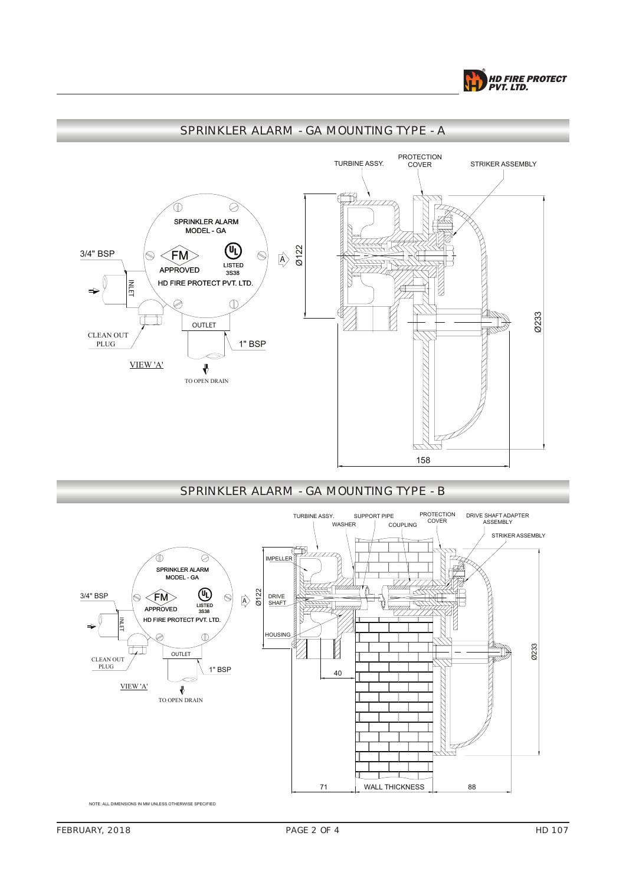



# SPRINKLER ALARM - GA MOUNTING TYPE - A





NOTE: ALL DIMENSIONS IN MM UNLESS OTHERWISE SPECIFIED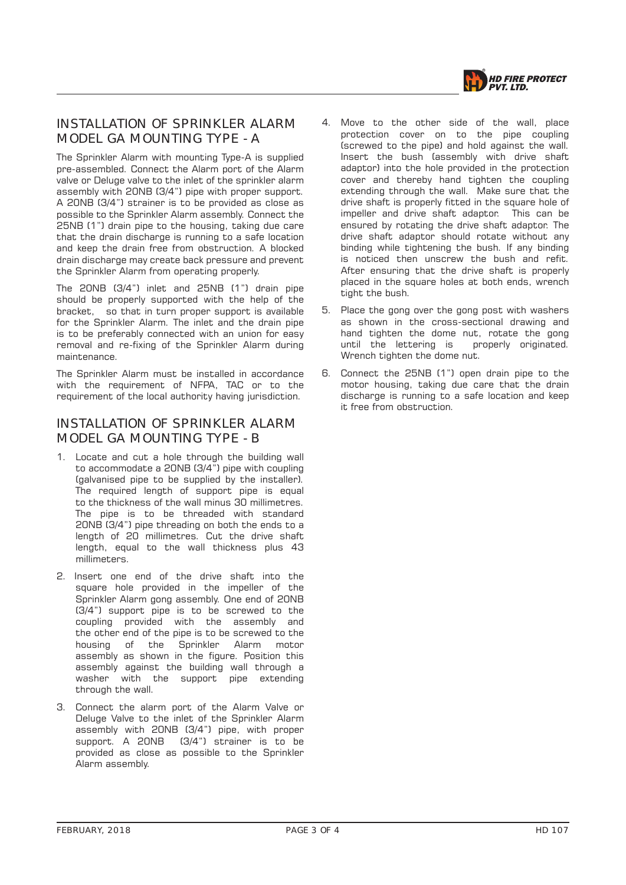

# INSTALLATION OF SPRINKLER ALARM MODEL GA MOUNTING TYPE - A

The Sprinkler Alarm with mounting Type-A is supplied pre-assembled. Connect the Alarm port of the Alarm valve or Deluge valve to the inlet of the sprinkler alarm assembly with 20NB (3/4") pipe with proper support. A 20NB (3/4") strainer is to be provided as close as possible to the Sprinkler Alarm assembly. Connect the 25NB (1") drain pipe to the housing, taking due care that the drain discharge is running to a safe location and keep the drain free from obstruction. A blocked drain discharge may create back pressure and prevent the Sprinkler Alarm from operating properly.

The 20NB (3/4") inlet and 25NB (1") drain pipe should be properly supported with the help of the bracket, so that in turn proper support is available for the Sprinkler Alarm. The inlet and the drain pipe is to be preferably connected with an union for easy removal and re-fixing of the Sprinkler Alarm during maintenance.

The Sprinkler Alarm must be installed in accordance with the requirement of NFPA, TAC or to the requirement of the local authority having jurisdiction.

# INSTALLATION OF SPRINKLER ALARM MODEL GA MOUNTING TYPE - B

- 1. Locate and cut a hole through the building wall to accommodate a 20NB (3/4") pipe with coupling (galvanised pipe to be supplied by the installer). The required length of support pipe is equal to the thickness of the wall minus 30 millimetres. The pipe is to be threaded with standard 20NB (3/4") pipe threading on both the ends to a length of 20 millimetres. Cut the drive shaft length, equal to the wall thickness plus 43 millimeters.
- 2. Insert one end of the drive shaft into the square hole provided in the impeller of the Sprinkler Alarm gong assembly. One end of 20NB (3/4") support pipe is to be screwed to the coupling provided with the assembly and the other end of the pipe is to be screwed to the<br>housing of the Sprinkler Alarm motor housing of the Sprinkler Alarm motor assembly as shown in the figure. Position this assembly against the building wall through a washer with the support pipe extending through the wall.
- 3. Connect the alarm port of the Alarm Valve or Deluge Valve to the inlet of the Sprinkler Alarm assembly with 20NB (3/4") pipe, with proper support. A 20NB (3/4") strainer is to be provided as close as possible to the Sprinkler Alarm assembly.
- 4. Move to the other side of the wall, place protection cover on to the pipe coupling (screwed to the pipe) and hold against the wall. Insert the bush (assembly with drive shaft adaptor) into the hole provided in the protection cover and thereby hand tighten the coupling extending through the wall. Make sure that the drive shaft is properly fitted in the square hole of impeller and drive shaft adaptor. This can be ensured by rotating the drive shaft adaptor. The drive shaft adaptor should rotate without any binding while tightening the bush. If any binding is noticed then unscrew the bush and refit. After ensuring that the drive shaft is properly placed in the square holes at both ends, wrench tight the bush.
- 5. Place the gong over the gong post with washers as shown in the cross-sectional drawing and hand tighten the dome nut, rotate the gong until the lettering is properly originated. Wrench tighten the dome nut.
- 6. Connect the 25NB (1") open drain pipe to the motor housing, taking due care that the drain discharge is running to a safe location and keep it free from obstruction.